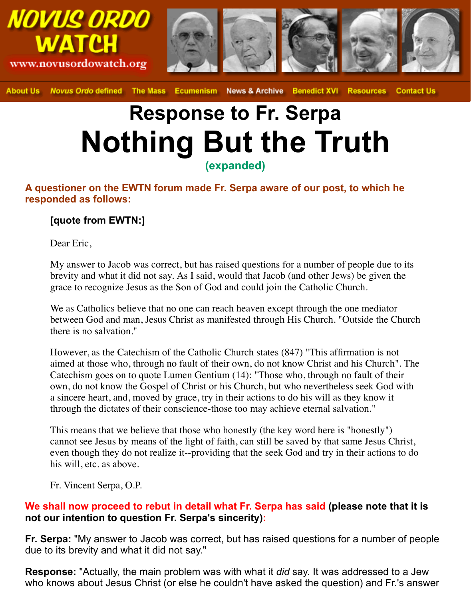

**About Us Novus Ordo defined** The Mass **News & Archive Benedict XVI Resources Contact Us Ecumenism** 

# **Response to Fr. Serpa Nothing But the Truth (expanded)**

### **A questioner on the EWTN forum made Fr. Serpa aware of our post, to which he responded as follows:**

## **[quote from EWTN:]**

Dear Eric,

My answer to Jacob was correct, but has raised questions for a number of people due to its brevity and what it did not say. As I said, would that Jacob (and other Jews) be given the grace to recognize Jesus as the Son of God and could join the Catholic Church.

We as Catholics believe that no one can reach heaven except through the one mediator between God and man, Jesus Christ as manifested through His Church. "Outside the Church there is no salvation."

However, as the Catechism of the Catholic Church states (847) "This affirmation is not aimed at those who, through no fault of their own, do not know Christ and his Church". The Catechism goes on to quote Lumen Gentium (14): "Those who, through no fault of their own, do not know the Gospel of Christ or his Church, but who nevertheless seek God with a sincere heart, and, moved by grace, try in their actions to do his will as they know it through the dictates of their conscience-those too may achieve eternal salvation."

This means that we believe that those who honestly (the key word here is "honestly") cannot see Jesus by means of the light of faith, can still be saved by that same Jesus Christ, even though they do not realize it--providing that the seek God and try in their actions to do his will, etc. as above.

Fr. Vincent Serpa, O.P.

### **We shall now proceed to rebut in detail what Fr. Serpa has said (please note that it is not our intention to question Fr. Serpa's sincerity):**

**Fr. Serpa:** "My answer to Jacob was correct, but has raised questions for a number of people due to its brevity and what it did not say."

**Response:** "Actually, the main problem was with what it *did* say. It was addressed to a Jew who knows about Jesus Christ (or else he couldn't have asked the question) and Fr.'s answer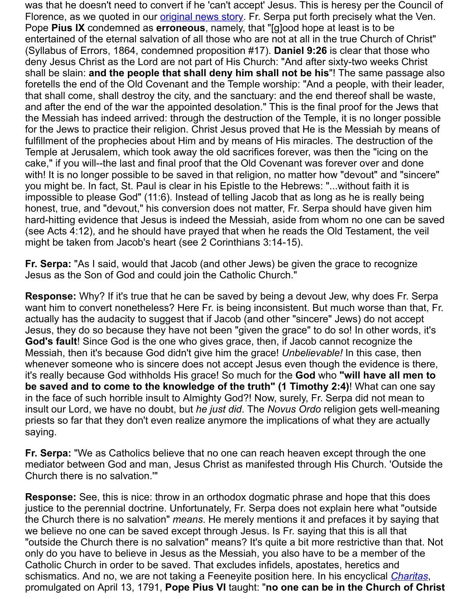and after the end of the war the appointed desolation." This is the final proof for the the Messiah has indeed arrive[d: through the destr](http://novusordowatch.org/story081503.htm)uction of the Temple, it is no lor for the Jews to practice their religion. Christ Jesus proved that He is the Messiah fulfillment of the prophecies about Him and by means of His miracles. The destru Temple at Jerusalem, which took away the old sacrifices forever, was then the "ic cake," if you will--the last and final proof that the Old Covenant was forever over a with! It is no longer possible to be saved in that religion, no matter how "devout" and with! you might be. In fact, St. Paul is clear in his Epistle to the Hebrews: "...without faith impossible to please God" (11:6). Instead of telling Jacob that as long as he is really honest, true, and "devout," his conversion does not matter, Fr. Serpa should have hard-hitting evidence that Jesus is indeed the Messiah, aside from whom no one (see Acts 4:12), and he should have prayed that when he reads the Old Testame might be taken from Jacob's heart (see 2 Corinthians 3:14-15).

**Fr. Serpa:** "As I said, would that Jacob (and other Jews) be given the grace to re Jesus as the Son of God and could join the Catholic Church."

**Response:** Why? If it's true that he can be saved by being a devout Jew, why do want him to convert nonetheless? Here Fr. is being inconsistent. But much worse actually has the audacity to suggest that if Jacob (and other "sincere" Jews) do n Jesus, they do so because they have not been "given the grace" to do so! In othe God's fault! Since God is the one who gives grace, then, if Jacob cannot recogni Messiah, then it's because God didn't give him the grace! *Unbelievable!* In this ca whenever someone who is sincere does not accept Jesus even though the evide it's really because God withholds His grace! So much for the God who "will have **be saved and to come to the knowledge of the truth" (1 Timothy 2:4)! What one say** in the face of such horrible insult to Almighty God?! Now, surely, Fr. Serpa did not insult our Lord, we have no doubt, but *he just did*. The *Novus Ordo* religion gets w priests so far that they don't even realize anymore the implications of what they a saying.

Fr. Serpa: "We as Catholics believe that no one can reach heaven except through mediator between God and man, Jesus Christ as manifested through His Church. Church there is no salvation.'"

**Response:** See, this is nice: throw in an orthodox dogmatic phrase and hope that justice to the perennial doctrine. Unfortunately, Fr. Serpa does not explain here w the Church there is no salvation" *means*. He merely mentions it and prefaces it b we believe no one can be saved except through Jesus. Is Fr. saying that this is a "outside the Church there is no salvation" means? It's quite a bit more restrictive only do you have to believe in Jesus as the Messiah, you also have to be a memi Catholic Church in order to be saved. That excludes infidels, apostates, heretics schismatics. And no, we are not taking a Feeneyite position here. In his encyclica promulgated on April 13, 1791, Pope Pius VI taught: "no one can be in the Chu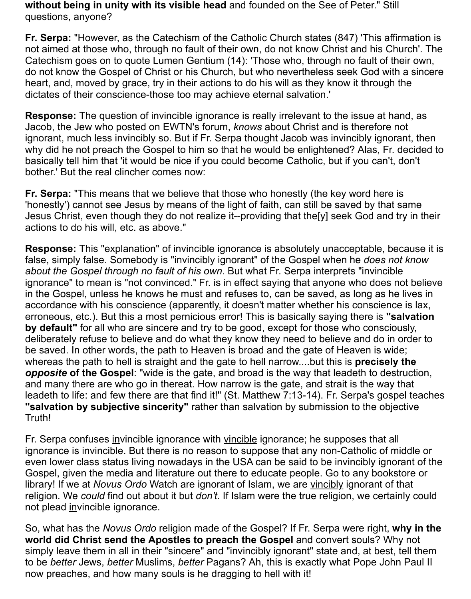**without being in unity with its visible head** and founded on the See of Peter." Still questions, anyone?

**Fr. Serpa:** "However, as the Catechism of the Catholic Church states (847) 'This affirmation is not aimed at those who, through no fault of their own, do not know Christ and his Church'. The Catechism goes on to quote Lumen Gentium (14): 'Those who, through no fault of their own, do not know the Gospel of Christ or his Church, but who nevertheless seek God with a sincere heart, and, moved by grace, try in their actions to do his will as they know it through the dictates of their conscience-those too may achieve eternal salvation.'

**Response:** The question of invincible ignorance is really irrelevant to the issue at hand, as Jacob, the Jew who posted on EWTN's forum, *knows* about Christ and is therefore not ignorant, much less invincibly so. But if Fr. Serpa thought Jacob was invincibly ignorant, then why did he not preach the Gospel to him so that he would be enlightened? Alas, Fr. decided to basically tell him that 'it would be nice if you could become Catholic, but if you can't, don't bother.' But the real clincher comes now:

**Fr. Serpa:** "This means that we believe that those who honestly (the key word here is 'honestly') cannot see Jesus by means of the light of faith, can still be saved by that same Jesus Christ, even though they do not realize it--providing that the[y] seek God and try in their actions to do his will, etc. as above."

**Response:** This "explanation" of invincible ignorance is absolutely unacceptable, because it is false, simply false. Somebody is "invincibly ignorant" of the Gospel when he *does not know about the Gospel through no fault of his own*. But what Fr. Serpa interprets "invincible ignorance" to mean is "not convinced." Fr. is in effect saying that anyone who does not believe in the Gospel, unless he knows he must and refuses to, can be saved, as long as he lives in accordance with his conscience (apparently, it doesn't matter whether his conscience is lax, erroneous, etc.). But this a most pernicious error! This is basically saying there is **"salvation by default"** for all who are sincere and try to be good, except for those who consciously, deliberately refuse to believe and do what they know they need to believe and do in order to be saved. In other words, the path to Heaven is broad and the gate of Heaven is wide; whereas the path to hell is straight and the gate to hell narrow....but this is **precisely the** *opposite* **of the Gospel**: "wide is the gate, and broad is the way that leadeth to destruction, and many there are who go in thereat. How narrow is the gate, and strait is the way that leadeth to life: and few there are that find it!" (St. Matthew 7:13-14). Fr. Serpa's gospel teaches **"salvation by subjective sincerity"** rather than salvation by submission to the objective Truth!

Fr. Serpa confuses invincible ignorance with vincible ignorance; he supposes that all ignorance is invincible. But there is no reason to suppose that any non-Catholic of middle or even lower class status living nowadays in the USA can be said to be invincibly ignorant of the Gospel, given the media and literature out there to educate people. Go to any bookstore or library! If we at *Novus Ordo* Watch are ignorant of Islam, we are vincibly ignorant of that religion. We *could* find out about it but *don't*. If Islam were the true religion, we certainly could not plead invincible ignorance.

So, what has the *Novus Ordo* religion made of the Gospel? If Fr. Serpa were right, **why in the world did Christ send the Apostles to preach the Gospel** and convert souls? Why not simply leave them in all in their "sincere" and "invincibly ignorant" state and, at best, tell them to be *better* Jews, *better* Muslims, *better* Pagans? Ah, this is exactly what Pope John Paul II now preaches, and how many souls is he dragging to hell with it!